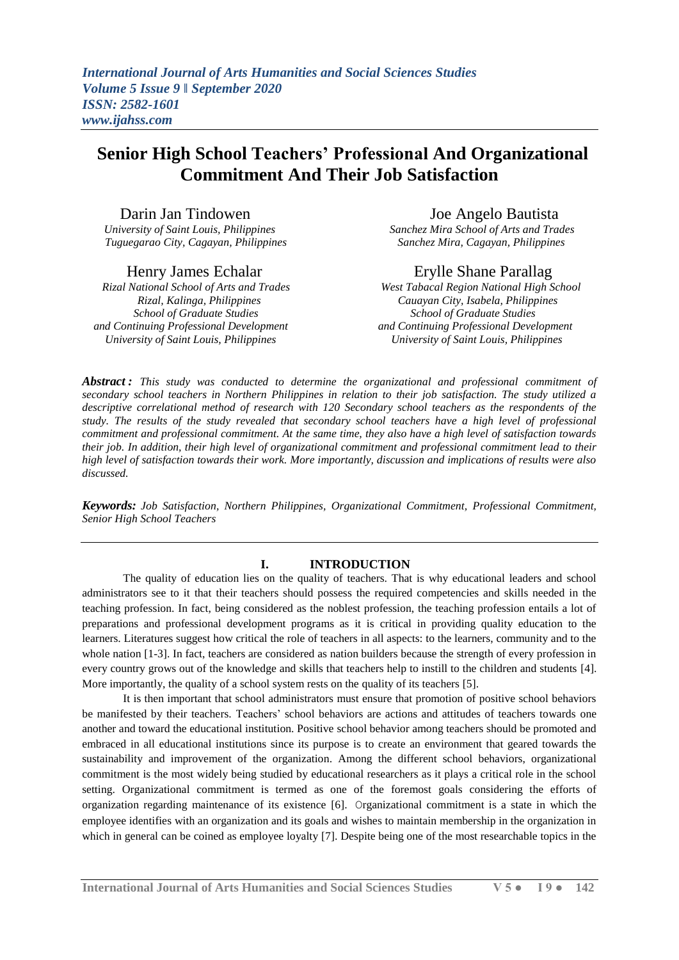# **Senior High School Teachers' Professional And Organizational Commitment And Their Job Satisfaction**

# Darin Jan Tindowen Joe Angelo Bautista

*Tuguegarao City, Cagayan, Philippines* 

 *Rizal National School of Arts and Trades West Tabacal Region National High School School of Graduate Studies School of Graduate Studies and Continuing Professional Development and Continuing Professional Development*

*University of Saint Louis, Philippines Sanchez Mira School of Arts and Trades*

# Henry James Echalar Erylle Shane Parallag

 *Rizal, Kalinga, Philippines Cauayan City, Isabela, Philippines University of Saint Louis, Philippines University of Saint Louis, Philippines*

*Abstract : This study was conducted to determine the organizational and professional commitment of secondary school teachers in Northern Philippines in relation to their job satisfaction. The study utilized a descriptive correlational method of research with 120 Secondary school teachers as the respondents of the study. The results of the study revealed that secondary school teachers have a high level of professional commitment and professional commitment. At the same time, they also have a high level of satisfaction towards their job. In addition, their high level of organizational commitment and professional commitment lead to their high level of satisfaction towards their work. More importantly, discussion and implications of results were also discussed.* 

*Keywords: Job Satisfaction, Northern Philippines, Organizational Commitment, Professional Commitment, Senior High School Teachers*

## **I. INTRODUCTION**

The quality of education lies on the quality of teachers. That is why educational leaders and school administrators see to it that their teachers should possess the required competencies and skills needed in the teaching profession. In fact, being considered as the noblest profession, the teaching profession entails a lot of preparations and professional development programs as it is critical in providing quality education to the learners. Literatures suggest how critical the role of teachers in all aspects: to the learners, community and to the whole nation [1-3]. In fact, teachers are considered as nation builders because the strength of every profession in every country grows out of the knowledge and skills that teachers help to instill to the children and students [4]. More importantly, the quality of a school system rests on the quality of its teachers [5].

It is then important that school administrators must ensure that promotion of positive school behaviors be manifested by their teachers. Teachers' school behaviors are actions and attitudes of teachers towards one another and toward the educational institution. Positive school behavior among teachers should be promoted and embraced in all educational institutions since its purpose is to create an environment that geared towards the sustainability and improvement of the organization. Among the different school behaviors, organizational commitment is the most widely being studied by educational researchers as it plays a critical role in the school setting. Organizational commitment is termed as one of the foremost goals considering the efforts of organization regarding maintenance of its existence [6]. Organizational commitment is a state in which the employee identifies with an organization and its goals and wishes to maintain membership in the organization in which in general can be coined as employee loyalty [7]. Despite being one of the most researchable topics in the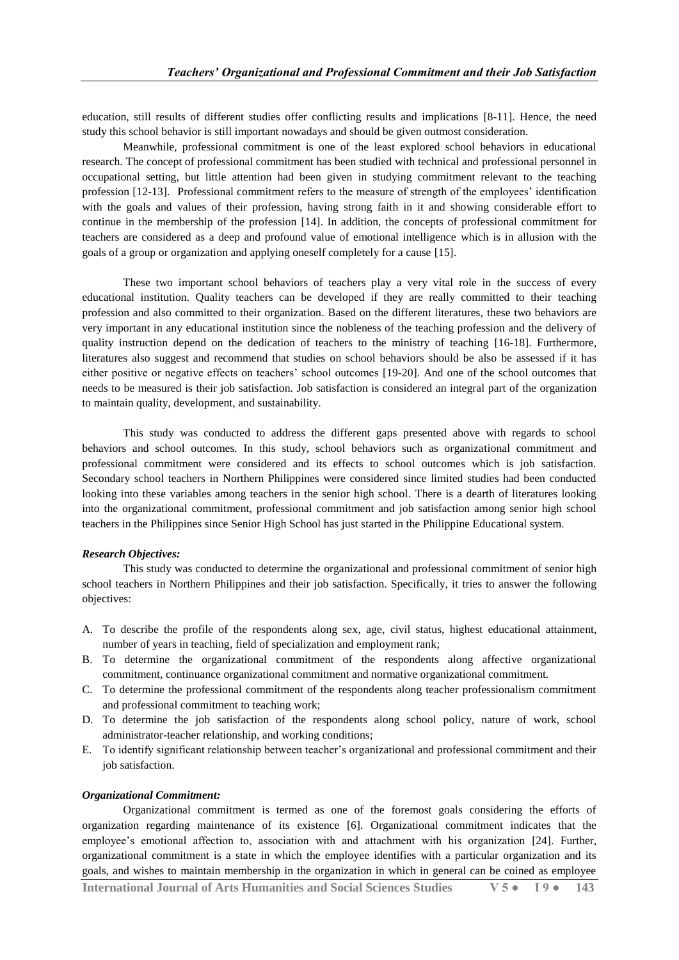education, still results of different studies offer conflicting results and implications [8-11]. Hence, the need study this school behavior is still important nowadays and should be given outmost consideration.

Meanwhile, professional commitment is one of the least explored school behaviors in educational research. The concept of professional commitment has been studied with technical and professional personnel in occupational setting, but little attention had been given in studying commitment relevant to the teaching profession [12-13]. Professional commitment refers to the measure of strength of the employees' identification with the goals and values of their profession, having strong faith in it and showing considerable effort to continue in the membership of the profession [14]. In addition, the concepts of professional commitment for teachers are considered as a deep and profound value of emotional intelligence which is in allusion with the goals of a group or organization and applying oneself completely for a cause [15].

These two important school behaviors of teachers play a very vital role in the success of every educational institution. Quality teachers can be developed if they are really committed to their teaching profession and also committed to their organization. Based on the different literatures, these two behaviors are very important in any educational institution since the nobleness of the teaching profession and the delivery of quality instruction depend on the dedication of teachers to the ministry of teaching [16-18]. Furthermore, literatures also suggest and recommend that studies on school behaviors should be also be assessed if it has either positive or negative effects on teachers' school outcomes [19-20]. And one of the school outcomes that needs to be measured is their job satisfaction. Job satisfaction is considered an integral part of the organization to maintain quality, development, and sustainability.

This study was conducted to address the different gaps presented above with regards to school behaviors and school outcomes. In this study, school behaviors such as organizational commitment and professional commitment were considered and its effects to school outcomes which is job satisfaction. Secondary school teachers in Northern Philippines were considered since limited studies had been conducted looking into these variables among teachers in the senior high school. There is a dearth of literatures looking into the organizational commitment, professional commitment and job satisfaction among senior high school teachers in the Philippines since Senior High School has just started in the Philippine Educational system.

#### *Research Objectives:*

This study was conducted to determine the organizational and professional commitment of senior high school teachers in Northern Philippines and their job satisfaction. Specifically, it tries to answer the following objectives:

- A. To describe the profile of the respondents along sex, age, civil status, highest educational attainment, number of years in teaching, field of specialization and employment rank;
- B. To determine the organizational commitment of the respondents along affective organizational commitment, continuance organizational commitment and normative organizational commitment.
- C. To determine the professional commitment of the respondents along teacher professionalism commitment and professional commitment to teaching work;
- D. To determine the job satisfaction of the respondents along school policy, nature of work, school administrator-teacher relationship, and working conditions;
- E. To identify significant relationship between teacher's organizational and professional commitment and their job satisfaction.

#### *Organizational Commitment:*

Organizational commitment is termed as one of the foremost goals considering the efforts of organization regarding maintenance of its existence [6]. Organizational commitment indicates that the employee's emotional affection to, association with and attachment with his organization [24]. Further, organizational commitment is a state in which the employee identifies with a particular organization and its goals, and wishes to maintain membership in the organization in which in general can be coined as employee

**International Journal of Arts Humanities and Social Sciences Studies V 5 ● I 9 ● 143**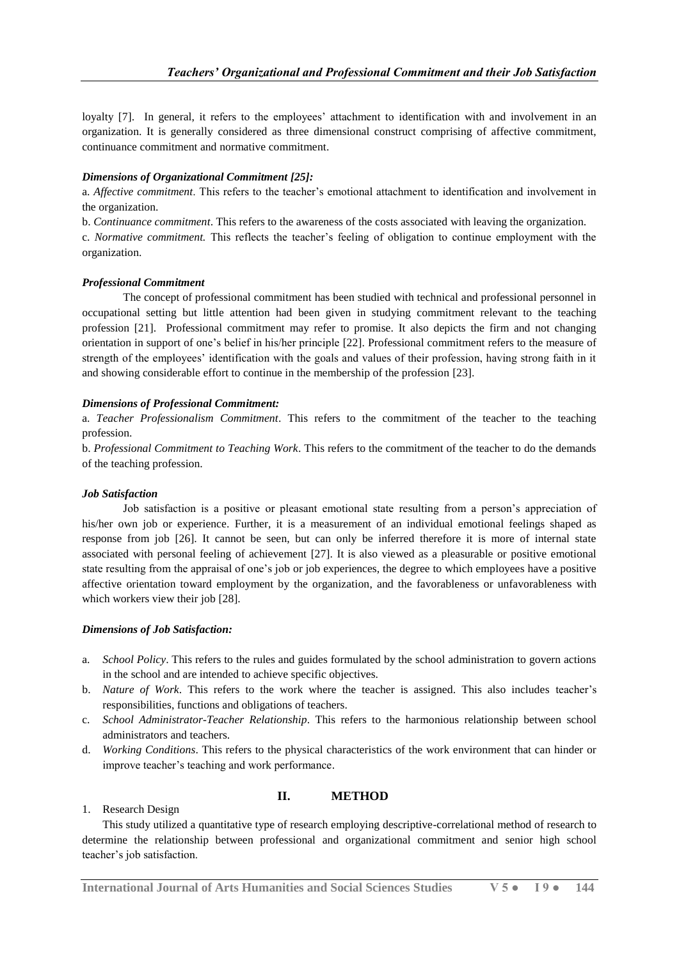loyalty [7]. In general, it refers to the employees' attachment to identification with and involvement in an organization. It is generally considered as three dimensional construct comprising of affective commitment, continuance commitment and normative commitment.

## *Dimensions of Organizational Commitment [25]:*

a. *Affective commitment*. This refers to the teacher's emotional attachment to identification and involvement in the organization.

b. *Continuance commitment*. This refers to the awareness of the costs associated with leaving the organization. c. *Normative commitment.* This reflects the teacher's feeling of obligation to continue employment with the organization.

#### *Professional Commitment*

The concept of professional commitment has been studied with technical and professional personnel in occupational setting but little attention had been given in studying commitment relevant to the teaching profession [21]. Professional commitment may refer to promise. It also depicts the firm and not changing orientation in support of one's belief in his/her principle [22]. Professional commitment refers to the measure of strength of the employees' identification with the goals and values of their profession, having strong faith in it and showing considerable effort to continue in the membership of the profession [23].

#### *Dimensions of Professional Commitment:*

a. *Teacher Professionalism Commitment*. This refers to the commitment of the teacher to the teaching profession.

b. *Professional Commitment to Teaching Work*. This refers to the commitment of the teacher to do the demands of the teaching profession.

## *Job Satisfaction*

Job satisfaction is a positive or pleasant emotional state resulting from a person's appreciation of his/her own job or experience. Further, it is a measurement of an individual emotional feelings shaped as response from job [26]. It cannot be seen, but can only be inferred therefore it is more of internal state associated with personal feeling of achievement [27]. It is also viewed as a pleasurable or positive emotional state resulting from the appraisal of one's job or job experiences, the degree to which employees have a positive affective orientation toward employment by the organization, and the favorableness or unfavorableness with which workers view their job [28].

## *Dimensions of Job Satisfaction:*

- a. *School Policy*. This refers to the rules and guides formulated by the school administration to govern actions in the school and are intended to achieve specific objectives.
- b. *Nature of Work*. This refers to the work where the teacher is assigned. This also includes teacher's responsibilities, functions and obligations of teachers.
- c. *School Administrator-Teacher Relationship*. This refers to the harmonious relationship between school administrators and teachers.
- d. *Working Conditions*. This refers to the physical characteristics of the work environment that can hinder or improve teacher's teaching and work performance.

## **II. METHOD**

## 1. Research Design

This study utilized a quantitative type of research employing descriptive-correlational method of research to determine the relationship between professional and organizational commitment and senior high school teacher's job satisfaction.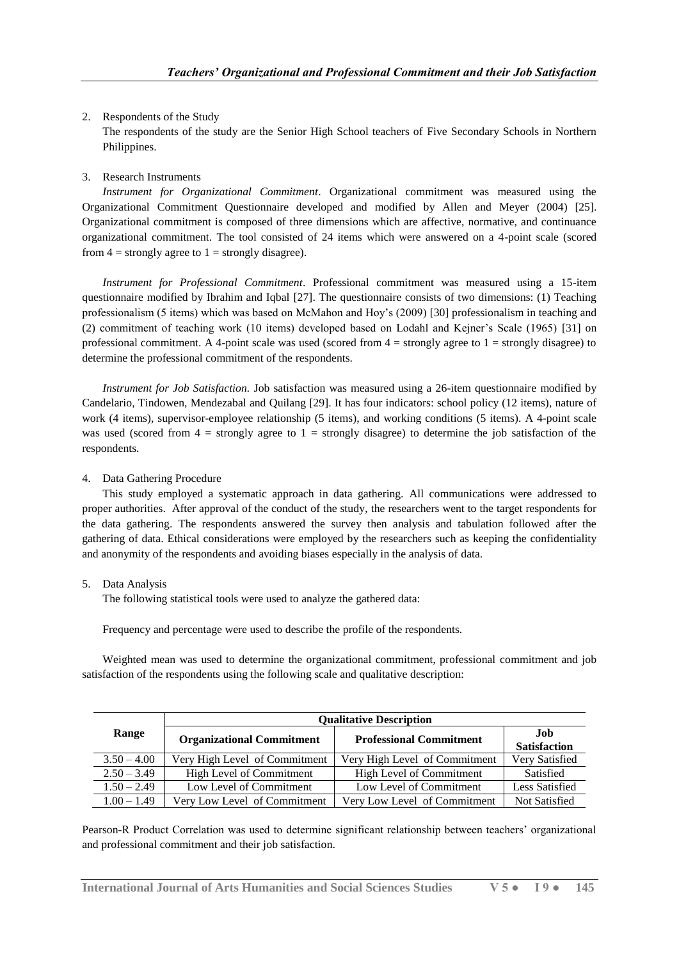# 2. Respondents of the Study

The respondents of the study are the Senior High School teachers of Five Secondary Schools in Northern Philippines.

# 3. Research Instruments

*Instrument for Organizational Commitment*. Organizational commitment was measured using the Organizational Commitment Questionnaire developed and modified by Allen and Meyer (2004) [25]. Organizational commitment is composed of three dimensions which are affective, normative, and continuance organizational commitment. The tool consisted of 24 items which were answered on a 4-point scale (scored from  $4 =$  strongly agree to  $1 =$  strongly disagree).

*Instrument for Professional Commitment*. Professional commitment was measured using a 15-item questionnaire modified by Ibrahim and Iqbal [27]. The questionnaire consists of two dimensions: (1) Teaching professionalism (5 items) which was based on McMahon and Hoy's (2009) [30] professionalism in teaching and (2) commitment of teaching work (10 items) developed based on Lodahl and Kejner's Scale (1965) [31] on professional commitment. A 4-point scale was used (scored from  $4 =$  strongly agree to  $1 =$  strongly disagree) to determine the professional commitment of the respondents.

*Instrument for Job Satisfaction.* Job satisfaction was measured using a 26-item questionnaire modified by Candelario, Tindowen, Mendezabal and Quilang [29]. It has four indicators: school policy (12 items), nature of work (4 items), supervisor-employee relationship (5 items), and working conditions (5 items). A 4-point scale was used (scored from  $4 =$  strongly agree to  $1 =$  strongly disagree) to determine the job satisfaction of the respondents.

#### 4. Data Gathering Procedure

This study employed a systematic approach in data gathering. All communications were addressed to proper authorities. After approval of the conduct of the study, the researchers went to the target respondents for the data gathering. The respondents answered the survey then analysis and tabulation followed after the gathering of data. Ethical considerations were employed by the researchers such as keeping the confidentiality and anonymity of the respondents and avoiding biases especially in the analysis of data.

## 5. Data Analysis

The following statistical tools were used to analyze the gathered data:

Frequency and percentage were used to describe the profile of the respondents.

Weighted mean was used to determine the organizational commitment, professional commitment and job satisfaction of the respondents using the following scale and qualitative description:

|               | <b>Qualitative Description</b>   |                                |                             |  |
|---------------|----------------------------------|--------------------------------|-----------------------------|--|
| Range         | <b>Organizational Commitment</b> | <b>Professional Commitment</b> | .Iob<br><b>Satisfaction</b> |  |
| $3.50 - 4.00$ | Very High Level of Commitment    | Very High Level of Commitment  | Very Satisfied              |  |
| $2.50 - 3.49$ | High Level of Commitment         | High Level of Commitment       | Satisfied                   |  |
| $1.50 - 2.49$ | Low Level of Commitment          | Low Level of Commitment        | Less Satisfied              |  |
| $1.00 - 1.49$ | Very Low Level of Commitment     | Very Low Level of Commitment   | Not Satisfied               |  |

Pearson-R Product Correlation was used to determine significant relationship between teachers' organizational and professional commitment and their job satisfaction.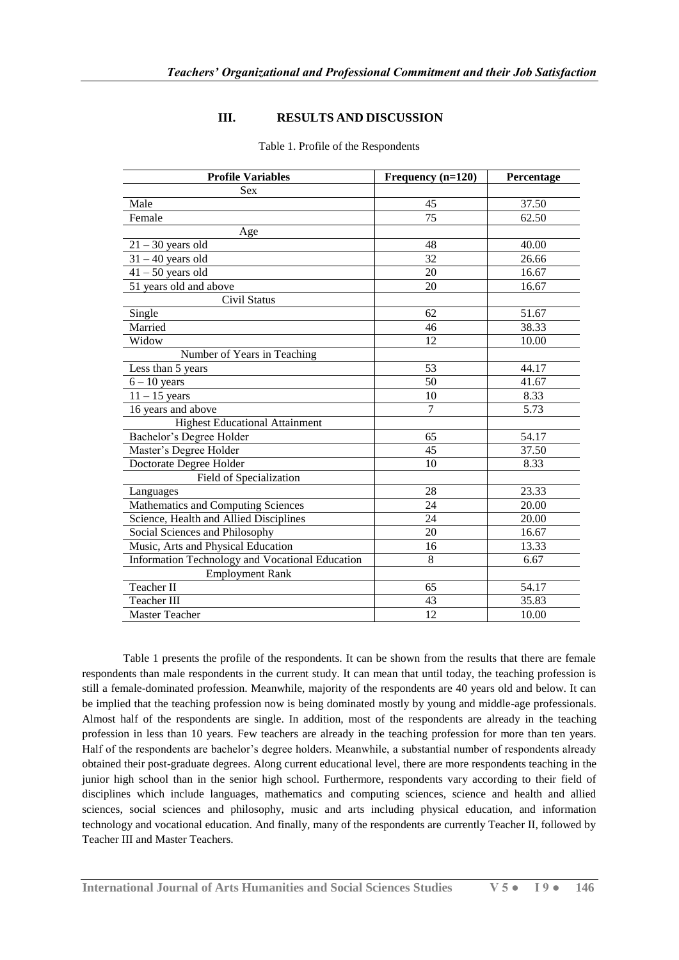### **III. RESULTS AND DISCUSSION**

| <b>Profile Variables</b>                        | Frequency (n=120) | Percentage        |
|-------------------------------------------------|-------------------|-------------------|
| <b>Sex</b>                                      |                   |                   |
| Male                                            | 45                | 37.50             |
| Female                                          | 75                | 62.50             |
| Age                                             |                   |                   |
| $21 - 30$ years old                             | 48                | 40.00             |
| $31 - 40$ years old                             | $\overline{32}$   | 26.66             |
| $41 - 50$ years old                             | 20                | 16.67             |
| 51 years old and above                          | 20                | 16.67             |
| <b>Civil Status</b>                             |                   |                   |
| Single                                          | 62                | 51.67             |
| Married                                         | 46                | 38.33             |
| Widow                                           | 12                | 10.00             |
| Number of Years in Teaching                     |                   |                   |
| Less than 5 years                               | $\overline{53}$   | 44.17             |
| $6 - 10$ years                                  | 50                | 41.67             |
| $11 - 15$ years                                 | 10                | 8.33              |
| 16 years and above                              | $\overline{7}$    | $\overline{5.73}$ |
| <b>Highest Educational Attainment</b>           |                   |                   |
| Bachelor's Degree Holder                        | 65                | 54.17             |
| Master's Degree Holder                          | 45                | 37.50             |
| Doctorate Degree Holder                         | 10                | 8.33              |
| Field of Specialization                         |                   |                   |
| Languages                                       | 28                | 23.33             |
| Mathematics and Computing Sciences              | 24                | 20.00             |
| Science, Health and Allied Disciplines          | 24                | 20.00             |
| Social Sciences and Philosophy                  | 20                | 16.67             |
| Music, Arts and Physical Education              | 16                | 13.33             |
| Information Technology and Vocational Education | 8                 | 6.67              |
| <b>Employment Rank</b>                          |                   |                   |
| Teacher II                                      | 65                | 54.17             |
| Teacher III                                     | 43                | 35.83             |
| <b>Master Teacher</b>                           | 12                | 10.00             |

#### Table 1. Profile of the Respondents

Table 1 presents the profile of the respondents. It can be shown from the results that there are female respondents than male respondents in the current study. It can mean that until today, the teaching profession is still a female-dominated profession. Meanwhile, majority of the respondents are 40 years old and below. It can be implied that the teaching profession now is being dominated mostly by young and middle-age professionals. Almost half of the respondents are single. In addition, most of the respondents are already in the teaching profession in less than 10 years. Few teachers are already in the teaching profession for more than ten years. Half of the respondents are bachelor's degree holders. Meanwhile, a substantial number of respondents already obtained their post-graduate degrees. Along current educational level, there are more respondents teaching in the junior high school than in the senior high school. Furthermore, respondents vary according to their field of disciplines which include languages, mathematics and computing sciences, science and health and allied sciences, social sciences and philosophy, music and arts including physical education, and information technology and vocational education. And finally, many of the respondents are currently Teacher II, followed by Teacher III and Master Teachers.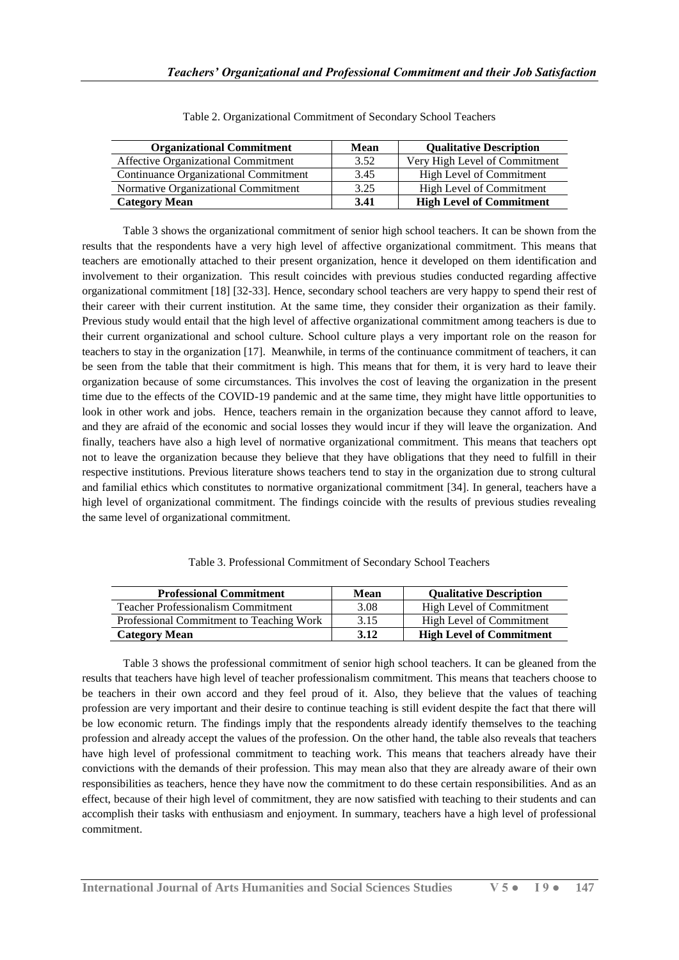| <b>Organizational Commitment</b>      | Mean | <b>Qualitative Description</b>  |
|---------------------------------------|------|---------------------------------|
| Affective Organizational Commitment   | 3.52 | Very High Level of Commitment   |
| Continuance Organizational Commitment | 3.45 | High Level of Commitment        |
| Normative Organizational Commitment   | 3.25 | High Level of Commitment        |
| <b>Category Mean</b>                  | 3.41 | <b>High Level of Commitment</b> |

| Table 2. Organizational Commitment of Secondary School Teachers |  |  |
|-----------------------------------------------------------------|--|--|
|                                                                 |  |  |
|                                                                 |  |  |

Table 3 shows the organizational commitment of senior high school teachers. It can be shown from the results that the respondents have a very high level of affective organizational commitment. This means that teachers are emotionally attached to their present organization, hence it developed on them identification and involvement to their organization. This result coincides with previous studies conducted regarding affective organizational commitment [18] [32-33]. Hence, secondary school teachers are very happy to spend their rest of their career with their current institution. At the same time, they consider their organization as their family. Previous study would entail that the high level of affective organizational commitment among teachers is due to their current organizational and school culture. School culture plays a very important role on the reason for teachers to stay in the organization [17]. Meanwhile, in terms of the continuance commitment of teachers, it can be seen from the table that their commitment is high. This means that for them, it is very hard to leave their organization because of some circumstances. This involves the cost of leaving the organization in the present time due to the effects of the COVID-19 pandemic and at the same time, they might have little opportunities to look in other work and jobs. Hence, teachers remain in the organization because they cannot afford to leave, and they are afraid of the economic and social losses they would incur if they will leave the organization. And finally, teachers have also a high level of normative organizational commitment. This means that teachers opt not to leave the organization because they believe that they have obligations that they need to fulfill in their respective institutions. Previous literature shows teachers tend to stay in the organization due to strong cultural and familial ethics which constitutes to normative organizational commitment [34]. In general, teachers have a high level of organizational commitment. The findings coincide with the results of previous studies revealing the same level of organizational commitment.

Table 3. Professional Commitment of Secondary School Teachers

| <b>Professional Commitment</b>            | Mean | <b>Qualitative Description</b>  |
|-------------------------------------------|------|---------------------------------|
| <b>Teacher Professionalism Commitment</b> | 3.08 | High Level of Commitment        |
| Professional Commitment to Teaching Work  | 3.15 | High Level of Commitment        |
| <b>Category Mean</b>                      | 3.12 | <b>High Level of Commitment</b> |

Table 3 shows the professional commitment of senior high school teachers. It can be gleaned from the results that teachers have high level of teacher professionalism commitment. This means that teachers choose to be teachers in their own accord and they feel proud of it. Also, they believe that the values of teaching profession are very important and their desire to continue teaching is still evident despite the fact that there will be low economic return. The findings imply that the respondents already identify themselves to the teaching profession and already accept the values of the profession. On the other hand, the table also reveals that teachers have high level of professional commitment to teaching work. This means that teachers already have their convictions with the demands of their profession. This may mean also that they are already aware of their own responsibilities as teachers, hence they have now the commitment to do these certain responsibilities. And as an effect, because of their high level of commitment, they are now satisfied with teaching to their students and can accomplish their tasks with enthusiasm and enjoyment. In summary, teachers have a high level of professional commitment.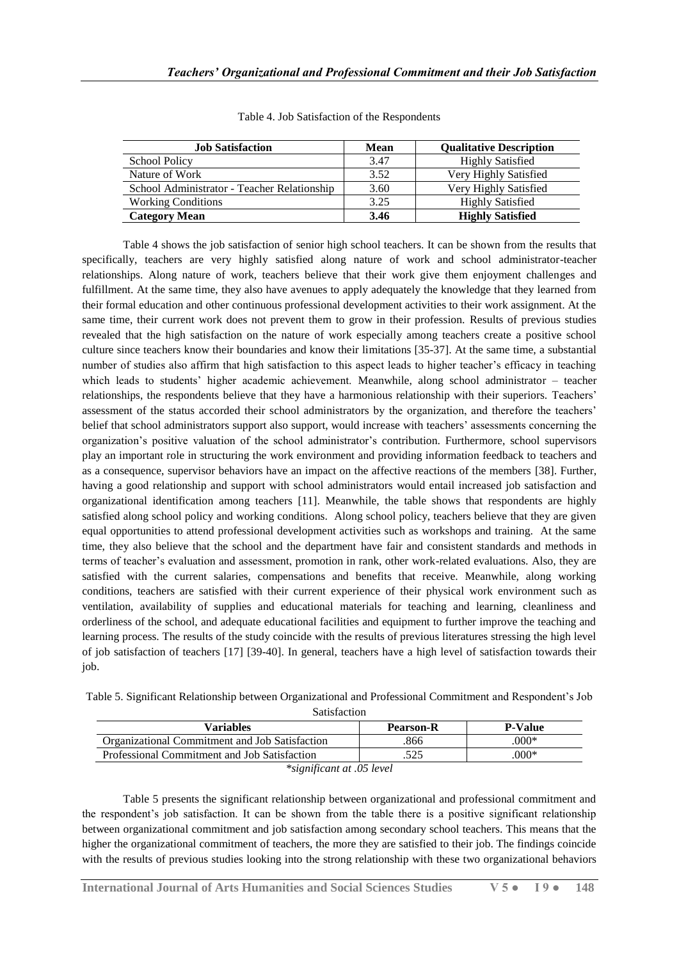| <b>Job Satisfaction</b>                     | <b>Mean</b> | <b>Qualitative Description</b> |
|---------------------------------------------|-------------|--------------------------------|
| School Policy                               | 3.47        | <b>Highly Satisfied</b>        |
| Nature of Work                              | 3.52        | Very Highly Satisfied          |
| School Administrator - Teacher Relationship | 3.60        | Very Highly Satisfied          |
| <b>Working Conditions</b>                   | 3.25        | <b>Highly Satisfied</b>        |
| <b>Category Mean</b>                        | 3.46        | <b>Highly Satisfied</b>        |

Table 4. Job Satisfaction of the Respondents

Table 4 shows the job satisfaction of senior high school teachers. It can be shown from the results that specifically, teachers are very highly satisfied along nature of work and school administrator-teacher relationships. Along nature of work, teachers believe that their work give them enjoyment challenges and fulfillment. At the same time, they also have avenues to apply adequately the knowledge that they learned from their formal education and other continuous professional development activities to their work assignment. At the same time, their current work does not prevent them to grow in their profession. Results of previous studies revealed that the high satisfaction on the nature of work especially among teachers create a positive school culture since teachers know their boundaries and know their limitations [35-37]. At the same time, a substantial number of studies also affirm that high satisfaction to this aspect leads to higher teacher's efficacy in teaching which leads to students' higher academic achievement. Meanwhile, along school administrator – teacher relationships, the respondents believe that they have a harmonious relationship with their superiors. Teachers' assessment of the status accorded their school administrators by the organization, and therefore the teachers' belief that school administrators support also support, would increase with teachers' assessments concerning the organization's positive valuation of the school administrator's contribution. Furthermore, school supervisors play an important role in structuring the work environment and providing information feedback to teachers and as a consequence, supervisor behaviors have an impact on the affective reactions of the members [38]. Further, having a good relationship and support with school administrators would entail increased job satisfaction and organizational identification among teachers [11]. Meanwhile, the table shows that respondents are highly satisfied along school policy and working conditions. Along school policy, teachers believe that they are given equal opportunities to attend professional development activities such as workshops and training. At the same time, they also believe that the school and the department have fair and consistent standards and methods in terms of teacher's evaluation and assessment, promotion in rank, other work-related evaluations. Also, they are satisfied with the current salaries, compensations and benefits that receive. Meanwhile, along working conditions, teachers are satisfied with their current experience of their physical work environment such as ventilation, availability of supplies and educational materials for teaching and learning, cleanliness and orderliness of the school, and adequate educational facilities and equipment to further improve the teaching and learning process. The results of the study coincide with the results of previous literatures stressing the high level of job satisfaction of teachers [17] [39-40]. In general, teachers have a high level of satisfaction towards their job.

Table 5. Significant Relationship between Organizational and Professional Commitment and Respondent's Job Satisfaction

| Variables                                      | <b>Pearson-R</b> | <b>P-Value</b> |  |  |
|------------------------------------------------|------------------|----------------|--|--|
| Organizational Commitment and Job Satisfaction | .866             | $.000*$        |  |  |
| Professional Commitment and Job Satisfaction   | .525             | $.000*$        |  |  |
| $\cdots$                                       |                  |                |  |  |

*\*significant at .05 level*

Table 5 presents the significant relationship between organizational and professional commitment and the respondent's job satisfaction. It can be shown from the table there is a positive significant relationship between organizational commitment and job satisfaction among secondary school teachers. This means that the higher the organizational commitment of teachers, the more they are satisfied to their job. The findings coincide with the results of previous studies looking into the strong relationship with these two organizational behaviors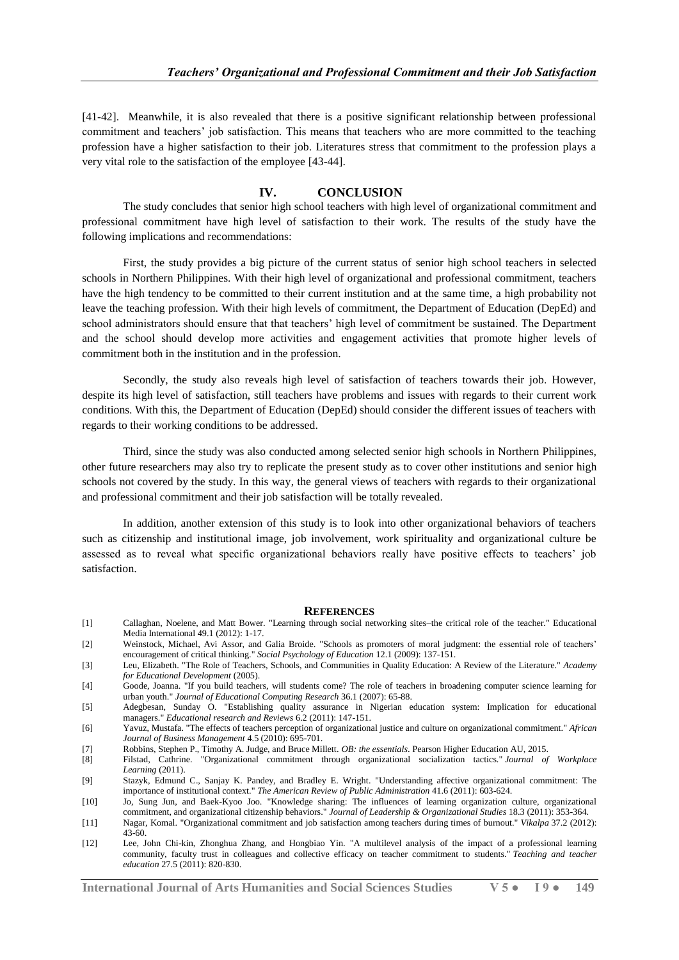[41-42]. Meanwhile, it is also revealed that there is a positive significant relationship between professional commitment and teachers' job satisfaction. This means that teachers who are more committed to the teaching profession have a higher satisfaction to their job. Literatures stress that commitment to the profession plays a very vital role to the satisfaction of the employee [43-44].

#### **IV. CONCLUSION**

The study concludes that senior high school teachers with high level of organizational commitment and professional commitment have high level of satisfaction to their work. The results of the study have the following implications and recommendations:

First, the study provides a big picture of the current status of senior high school teachers in selected schools in Northern Philippines. With their high level of organizational and professional commitment, teachers have the high tendency to be committed to their current institution and at the same time, a high probability not leave the teaching profession. With their high levels of commitment, the Department of Education (DepEd) and school administrators should ensure that that teachers' high level of commitment be sustained. The Department and the school should develop more activities and engagement activities that promote higher levels of commitment both in the institution and in the profession.

Secondly, the study also reveals high level of satisfaction of teachers towards their job. However, despite its high level of satisfaction, still teachers have problems and issues with regards to their current work conditions. With this, the Department of Education (DepEd) should consider the different issues of teachers with regards to their working conditions to be addressed.

Third, since the study was also conducted among selected senior high schools in Northern Philippines, other future researchers may also try to replicate the present study as to cover other institutions and senior high schools not covered by the study. In this way, the general views of teachers with regards to their organizational and professional commitment and their job satisfaction will be totally revealed.

In addition, another extension of this study is to look into other organizational behaviors of teachers such as citizenship and institutional image, job involvement, work spirituality and organizational culture be assessed as to reveal what specific organizational behaviors really have positive effects to teachers' job satisfaction.

#### **REFERENCES**

- [1] Callaghan, Noelene, and Matt Bower. "Learning through social networking sites–the critical role of the teacher." Educational Media International 49.1 (2012): 1-17.
- [2] Weinstock, Michael, Avi Assor, and Galia Broide. "Schools as promoters of moral judgment: the essential role of teachers' encouragement of critical thinking." *Social Psychology of Education* 12.1 (2009): 137-151.
- [3] Leu, Elizabeth. "The Role of Teachers, Schools, and Communities in Quality Education: A Review of the Literature." *Academy for Educational Development* (2005).
- [4] Goode, Joanna. "If you build teachers, will students come? The role of teachers in broadening computer science learning for urban youth." *Journal of Educational Computing Research* 36.1 (2007): 65-88.
- [5] Adegbesan, Sunday O. "Establishing quality assurance in Nigerian education system: Implication for educational managers." *Educational research and Reviews* 6.2 (2011): 147-151.
- [6] Yavuz, Mustafa. "The effects of teachers perception of organizational justice and culture on organizational commitment." *African Journal of Business Management* 4.5 (2010): 695-701.
- [7] Robbins, Stephen P., Timothy A. Judge, and Bruce Millett. *OB: the essentials*. Pearson Higher Education AU, 2015.
- [8] Filstad, Cathrine. "Organizational commitment through organizational socialization tactics." *Journal of Workplace Learning* (2011).
- [9] Stazyk, Edmund C., Sanjay K. Pandey, and Bradley E. Wright. "Understanding affective organizational commitment: The importance of institutional context." *The American Review of Public Administration* 41.6 (2011): 603-624.
- [10] Jo, Sung Jun, and Baek-Kyoo Joo. "Knowledge sharing: The influences of learning organization culture, organizational commitment, and organizational citizenship behaviors." *Journal of Leadership & Organizational Studies* 18.3 (2011): 353-364.
- [11] Nagar, Komal. "Organizational commitment and job satisfaction among teachers during times of burnout." *Vikalpa* 37.2 (2012): 43-60.
- [12] Lee, John Chi-kin, Zhonghua Zhang, and Hongbiao Yin. "A multilevel analysis of the impact of a professional learning community, faculty trust in colleagues and collective efficacy on teacher commitment to students." *Teaching and teacher education* 27.5 (2011): 820-830.